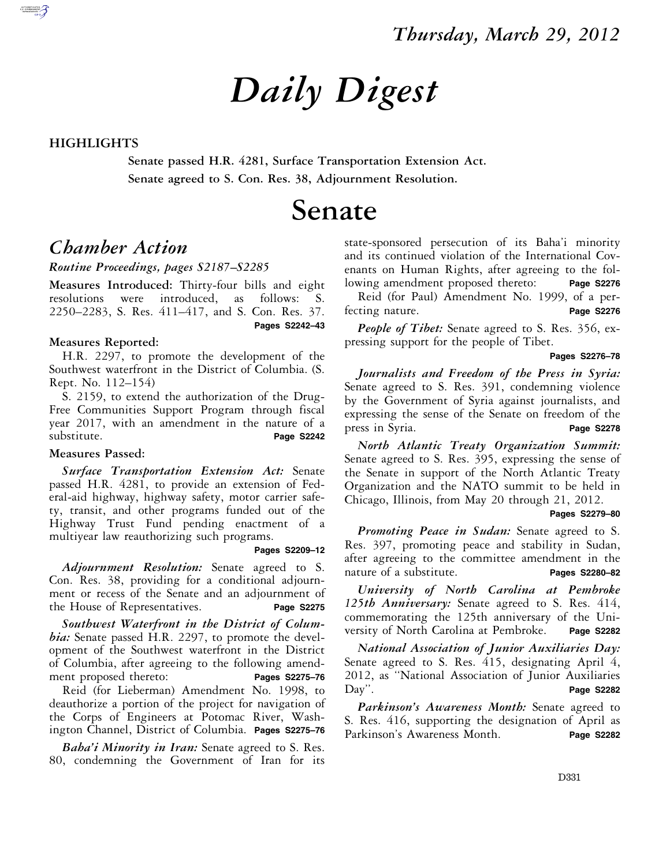# *Daily Digest*

### **HIGHLIGHTS**

**Senate passed H.R. 4281, Surface Transportation Extension Act. Senate agreed to S. Con. Res. 38, Adjournment Resolution.** 

## **Senate**

### *Chamber Action*

### *Routine Proceedings, pages S2187–S2285*

**Measures Introduced:** Thirty-four bills and eight resolutions were introduced, as follows: S. 2250–2283, S. Res. 411–417, and S. Con. Res. 37.  **Pages S2242–43** 

### **Measures Reported:**

H.R. 2297, to promote the development of the Southwest waterfront in the District of Columbia. (S. Rept. No. 112–154)

S. 2159, to extend the authorization of the Drug-Free Communities Support Program through fiscal year 2017, with an amendment in the nature of a substitute. **Page S2242** 

### **Measures Passed:**

*Surface Transportation Extension Act:* Senate passed H.R. 4281, to provide an extension of Federal-aid highway, highway safety, motor carrier safety, transit, and other programs funded out of the Highway Trust Fund pending enactment of a multiyear law reauthorizing such programs.

### **Pages S2209–12**

*Adjournment Resolution:* Senate agreed to S. Con. Res. 38, providing for a conditional adjournment or recess of the Senate and an adjournment of the House of Representatives. **Page S2275** 

*Southwest Waterfront in the District of Columbia:* Senate passed H.R. 2297, to promote the development of the Southwest waterfront in the District of Columbia, after agreeing to the following amendment proposed thereto: **Pages S2275–76** 

Reid (for Lieberman) Amendment No. 1998, to deauthorize a portion of the project for navigation of the Corps of Engineers at Potomac River, Washington Channel, District of Columbia. **Pages S2275–76** 

*Baha'i Minority in Iran:* Senate agreed to S. Res. 80, condemning the Government of Iran for its state-sponsored persecution of its Baha'i minority and its continued violation of the International Covenants on Human Rights, after agreeing to the following amendment proposed thereto: **Page S2276** 

Reid (for Paul) Amendment No. 1999, of a perfecting nature. **Page S2276** 

*People of Tibet:* Senate agreed to S. Res. 356, expressing support for the people of Tibet.

 **Pages S2276–78** 

*Journalists and Freedom of the Press in Syria:*  Senate agreed to S. Res. 391, condemning violence by the Government of Syria against journalists, and expressing the sense of the Senate on freedom of the press in Syria. **Page S2278** 

*North Atlantic Treaty Organization Summit:*  Senate agreed to S. Res. 395, expressing the sense of the Senate in support of the North Atlantic Treaty Organization and the NATO summit to be held in Chicago, Illinois, from May 20 through 21, 2012.

#### **Pages S2279–80**

*Promoting Peace in Sudan:* Senate agreed to S. Res. 397, promoting peace and stability in Sudan, after agreeing to the committee amendment in the nature of a substitute. **Pages S2280–82** 

*University of North Carolina at Pembroke 125th Anniversary:* Senate agreed to S. Res. 414, commemorating the 125th anniversary of the University of North Carolina at Pembroke. **Page S2282** 

*National Association of Junior Auxiliaries Day:*  Senate agreed to S. Res. 415, designating April 4, 2012, as ''National Association of Junior Auxiliaries Day". **Page S2282** 

*Parkinson's Awareness Month:* Senate agreed to S. Res. 416, supporting the designation of April as Parkinson's Awareness Month. **Page S2282**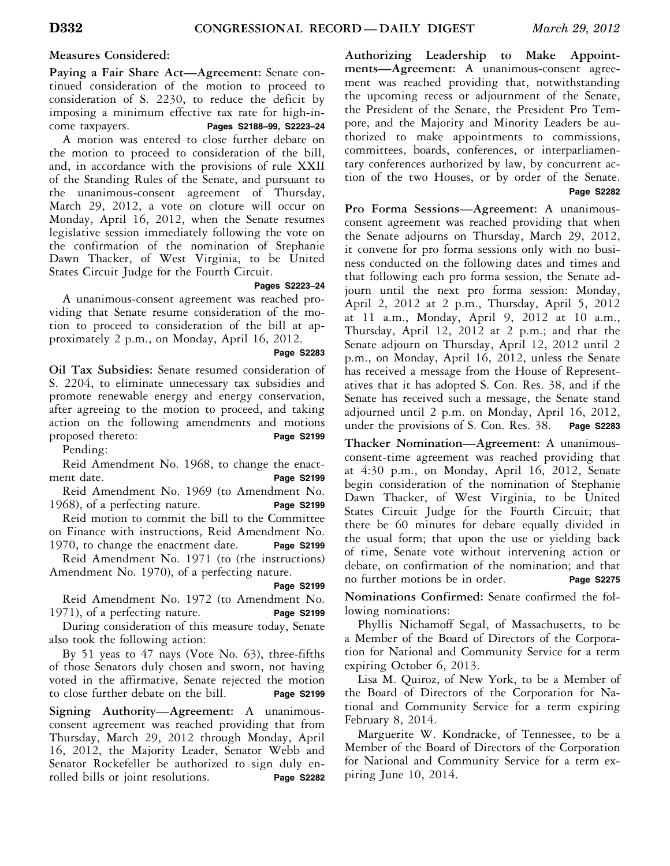### **Measures Considered:**

**Paying a Fair Share Act—Agreement:** Senate continued consideration of the motion to proceed to consideration of S. 2230, to reduce the deficit by imposing a minimum effective tax rate for high-income taxpayers. **Pages S2188–99, S2223–24**  A motion was entered to close further debate on

the motion to proceed to consideration of the bill, and, in accordance with the provisions of rule XXII of the Standing Rules of the Senate, and pursuant to the unanimous-consent agreement of Thursday, March 29, 2012, a vote on cloture will occur on Monday, April 16, 2012, when the Senate resumes legislative session immediately following the vote on the confirmation of the nomination of Stephanie Dawn Thacker, of West Virginia, to be United States Circuit Judge for the Fourth Circuit.

### **Pages S2223–24**

A unanimous-consent agreement was reached providing that Senate resume consideration of the motion to proceed to consideration of the bill at approximately 2 p.m., on Monday, April 16, 2012.

### **Page S2283**

**Oil Tax Subsidies:** Senate resumed consideration of S. 2204, to eliminate unnecessary tax subsidies and promote renewable energy and energy conservation, after agreeing to the motion to proceed, and taking action on the following amendments and motions proposed thereto: **Page S2199** 

Pending:

Reid Amendment No. 1968, to change the enactment date. **Page S2199** 

Reid Amendment No. 1969 (to Amendment No. 1968), of a perfecting nature. **Page S2199** 

Reid motion to commit the bill to the Committee on Finance with instructions, Reid Amendment No. 1970, to change the enactment date. **Page S2199** 

Reid Amendment No. 1971 (to (the instructions) Amendment No. 1970), of a perfecting nature.

Reid Amendment No. 1972 (to Amendment No. 1971), of a perfecting nature. **Page S2199** 

During consideration of this measure today, Senate also took the following action:

By 51 yeas to 47 nays (Vote No. 63), three-fifths of those Senators duly chosen and sworn, not having voted in the affirmative, Senate rejected the motion to close further debate on the bill. **Page S2199** 

**Signing Authority—Agreement:** A unanimousconsent agreement was reached providing that from Thursday, March 29, 2012 through Monday, April 16, 2012, the Majority Leader, Senator Webb and Senator Rockefeller be authorized to sign duly enrolled bills or joint resolutions. **Page S2282** 

**Authorizing Leadership to Make Appointments—Agreement:** A unanimous-consent agreement was reached providing that, notwithstanding the upcoming recess or adjournment of the Senate, the President of the Senate, the President Pro Tempore, and the Majority and Minority Leaders be authorized to make appointments to commissions, committees, boards, conferences, or interparliamentary conferences authorized by law, by concurrent action of the two Houses, or by order of the Senate.  **Page S2282** 

**Pro Forma Sessions—Agreement:** A unanimousconsent agreement was reached providing that when the Senate adjourns on Thursday, March 29, 2012, it convene for pro forma sessions only with no business conducted on the following dates and times and that following each pro forma session, the Senate adjourn until the next pro forma session: Monday, April 2, 2012 at 2 p.m., Thursday, April 5, 2012 at 11 a.m., Monday, April 9, 2012 at 10 a.m., Thursday, April 12, 2012 at 2 p.m.; and that the Senate adjourn on Thursday, April 12, 2012 until 2 p.m., on Monday, April 16, 2012, unless the Senate has received a message from the House of Representatives that it has adopted S. Con. Res. 38, and if the Senate has received such a message, the Senate stand adjourned until 2 p.m. on Monday, April 16, 2012, under the provisions of S. Con. Res. 38. **Page S2283** 

**Thacker Nomination—Agreement:** A unanimousconsent-time agreement was reached providing that at 4:30 p.m., on Monday, April 16, 2012, Senate begin consideration of the nomination of Stephanie Dawn Thacker, of West Virginia, to be United States Circuit Judge for the Fourth Circuit; that there be 60 minutes for debate equally divided in the usual form; that upon the use or yielding back of time, Senate vote without intervening action or debate, on confirmation of the nomination; and that no further motions be in order. **Page S2275** 

**Nominations Confirmed:** Senate confirmed the following nominations:

Phyllis Nichamoff Segal, of Massachusetts, to be a Member of the Board of Directors of the Corporation for National and Community Service for a term expiring October 6, 2013.

Lisa M. Quiroz, of New York, to be a Member of the Board of Directors of the Corporation for National and Community Service for a term expiring February 8, 2014.

Marguerite W. Kondracke, of Tennessee, to be a Member of the Board of Directors of the Corporation for National and Community Service for a term expiring June 10, 2014.

**Page S2199**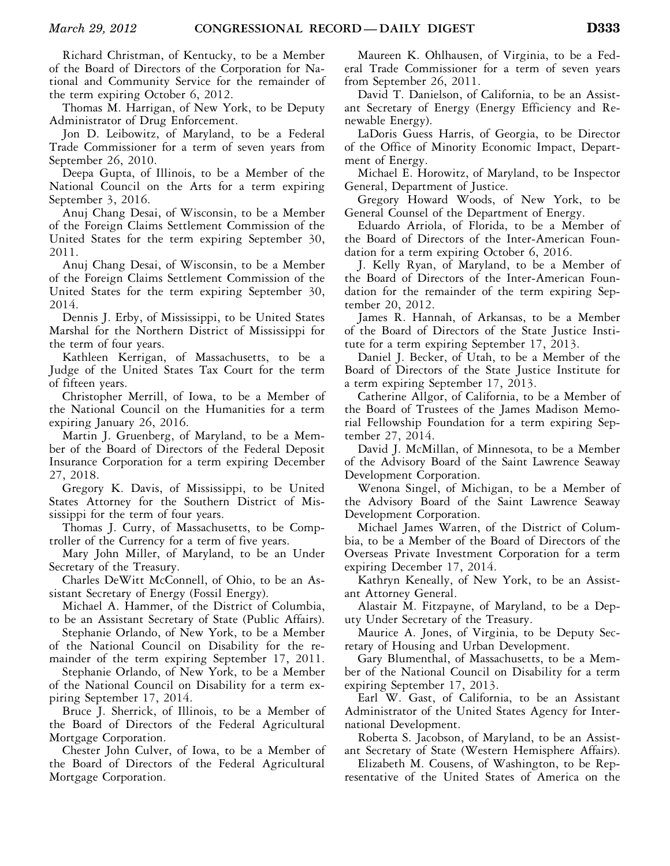Richard Christman, of Kentucky, to be a Member of the Board of Directors of the Corporation for National and Community Service for the remainder of the term expiring October 6, 2012.

Thomas M. Harrigan, of New York, to be Deputy Administrator of Drug Enforcement.

Jon D. Leibowitz, of Maryland, to be a Federal Trade Commissioner for a term of seven years from September 26, 2010.

Deepa Gupta, of Illinois, to be a Member of the National Council on the Arts for a term expiring September 3, 2016.

Anuj Chang Desai, of Wisconsin, to be a Member of the Foreign Claims Settlement Commission of the United States for the term expiring September 30, 2011.

Anuj Chang Desai, of Wisconsin, to be a Member of the Foreign Claims Settlement Commission of the United States for the term expiring September 30, 2014.

Dennis J. Erby, of Mississippi, to be United States Marshal for the Northern District of Mississippi for the term of four years.

Kathleen Kerrigan, of Massachusetts, to be a Judge of the United States Tax Court for the term of fifteen years.

Christopher Merrill, of Iowa, to be a Member of the National Council on the Humanities for a term expiring January 26, 2016.

Martin J. Gruenberg, of Maryland, to be a Member of the Board of Directors of the Federal Deposit Insurance Corporation for a term expiring December 27, 2018.

Gregory K. Davis, of Mississippi, to be United States Attorney for the Southern District of Mississippi for the term of four years.

Thomas J. Curry, of Massachusetts, to be Comptroller of the Currency for a term of five years.

Mary John Miller, of Maryland, to be an Under Secretary of the Treasury.

Charles DeWitt McConnell, of Ohio, to be an Assistant Secretary of Energy (Fossil Energy).

Michael A. Hammer, of the District of Columbia, to be an Assistant Secretary of State (Public Affairs).

Stephanie Orlando, of New York, to be a Member of the National Council on Disability for the remainder of the term expiring September 17, 2011.

Stephanie Orlando, of New York, to be a Member of the National Council on Disability for a term expiring September 17, 2014.

Bruce J. Sherrick, of Illinois, to be a Member of the Board of Directors of the Federal Agricultural Mortgage Corporation.

Chester John Culver, of Iowa, to be a Member of the Board of Directors of the Federal Agricultural Mortgage Corporation.

Maureen K. Ohlhausen, of Virginia, to be a Federal Trade Commissioner for a term of seven years from September 26, 2011.

David T. Danielson, of California, to be an Assistant Secretary of Energy (Energy Efficiency and Renewable Energy).

LaDoris Guess Harris, of Georgia, to be Director of the Office of Minority Economic Impact, Department of Energy.

Michael E. Horowitz, of Maryland, to be Inspector General, Department of Justice.

Gregory Howard Woods, of New York, to be General Counsel of the Department of Energy.

Eduardo Arriola, of Florida, to be a Member of the Board of Directors of the Inter-American Foundation for a term expiring October 6, 2016.

J. Kelly Ryan, of Maryland, to be a Member of the Board of Directors of the Inter-American Foundation for the remainder of the term expiring September 20, 2012.

James R. Hannah, of Arkansas, to be a Member of the Board of Directors of the State Justice Institute for a term expiring September 17, 2013.

Daniel J. Becker, of Utah, to be a Member of the Board of Directors of the State Justice Institute for a term expiring September 17, 2013.

Catherine Allgor, of California, to be a Member of the Board of Trustees of the James Madison Memorial Fellowship Foundation for a term expiring September 27, 2014.

David J. McMillan, of Minnesota, to be a Member of the Advisory Board of the Saint Lawrence Seaway Development Corporation.

Wenona Singel, of Michigan, to be a Member of the Advisory Board of the Saint Lawrence Seaway Development Corporation.

Michael James Warren, of the District of Columbia, to be a Member of the Board of Directors of the Overseas Private Investment Corporation for a term expiring December 17, 2014.

Kathryn Keneally, of New York, to be an Assistant Attorney General.

Alastair M. Fitzpayne, of Maryland, to be a Deputy Under Secretary of the Treasury.

Maurice A. Jones, of Virginia, to be Deputy Secretary of Housing and Urban Development.

Gary Blumenthal, of Massachusetts, to be a Member of the National Council on Disability for a term expiring September 17, 2013.

Earl W. Gast, of California, to be an Assistant Administrator of the United States Agency for International Development.

Roberta S. Jacobson, of Maryland, to be an Assistant Secretary of State (Western Hemisphere Affairs).

Elizabeth M. Cousens, of Washington, to be Representative of the United States of America on the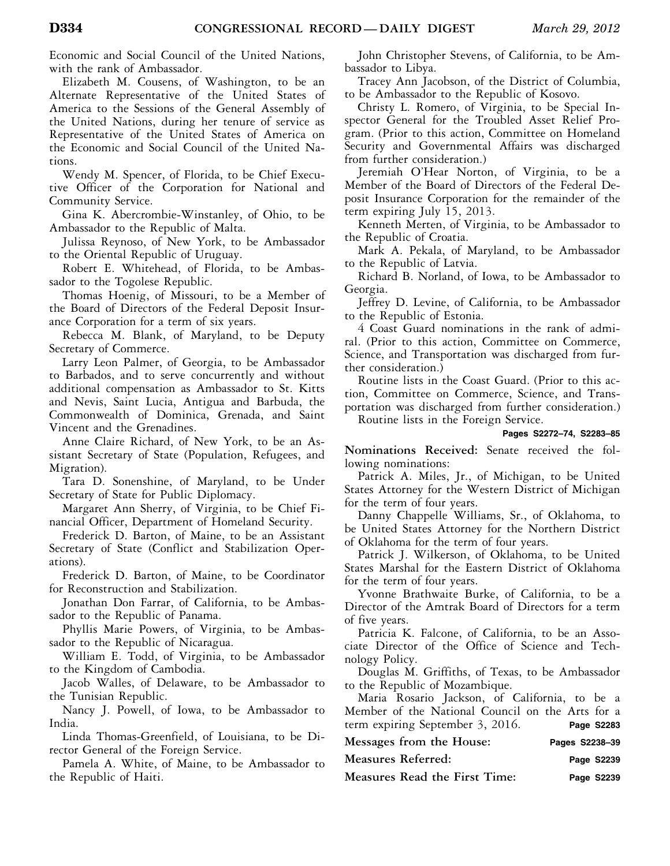Economic and Social Council of the United Nations, with the rank of Ambassador.

Elizabeth M. Cousens, of Washington, to be an Alternate Representative of the United States of America to the Sessions of the General Assembly of the United Nations, during her tenure of service as Representative of the United States of America on the Economic and Social Council of the United Nations.

Wendy M. Spencer, of Florida, to be Chief Executive Officer of the Corporation for National and Community Service.

Gina K. Abercrombie-Winstanley, of Ohio, to be Ambassador to the Republic of Malta.

Julissa Reynoso, of New York, to be Ambassador to the Oriental Republic of Uruguay.

Robert E. Whitehead, of Florida, to be Ambassador to the Togolese Republic.

Thomas Hoenig, of Missouri, to be a Member of the Board of Directors of the Federal Deposit Insurance Corporation for a term of six years.

Rebecca M. Blank, of Maryland, to be Deputy Secretary of Commerce.

Larry Leon Palmer, of Georgia, to be Ambassador to Barbados, and to serve concurrently and without additional compensation as Ambassador to St. Kitts and Nevis, Saint Lucia, Antigua and Barbuda, the Commonwealth of Dominica, Grenada, and Saint Vincent and the Grenadines.

Anne Claire Richard, of New York, to be an Assistant Secretary of State (Population, Refugees, and Migration).

Tara D. Sonenshine, of Maryland, to be Under Secretary of State for Public Diplomacy.

Margaret Ann Sherry, of Virginia, to be Chief Financial Officer, Department of Homeland Security.

Frederick D. Barton, of Maine, to be an Assistant Secretary of State (Conflict and Stabilization Operations).

Frederick D. Barton, of Maine, to be Coordinator for Reconstruction and Stabilization.

Jonathan Don Farrar, of California, to be Ambassador to the Republic of Panama.

Phyllis Marie Powers, of Virginia, to be Ambassador to the Republic of Nicaragua.

William E. Todd, of Virginia, to be Ambassador to the Kingdom of Cambodia.

Jacob Walles, of Delaware, to be Ambassador to the Tunisian Republic.

Nancy J. Powell, of Iowa, to be Ambassador to India.

Linda Thomas-Greenfield, of Louisiana, to be Director General of the Foreign Service.

Pamela A. White, of Maine, to be Ambassador to the Republic of Haiti.

John Christopher Stevens, of California, to be Ambassador to Libya.

Tracey Ann Jacobson, of the District of Columbia, to be Ambassador to the Republic of Kosovo.

Christy L. Romero, of Virginia, to be Special Inspector General for the Troubled Asset Relief Program. (Prior to this action, Committee on Homeland Security and Governmental Affairs was discharged from further consideration.)

Jeremiah O'Hear Norton, of Virginia, to be a Member of the Board of Directors of the Federal Deposit Insurance Corporation for the remainder of the term expiring July 15, 2013.

Kenneth Merten, of Virginia, to be Ambassador to the Republic of Croatia.

Mark A. Pekala, of Maryland, to be Ambassador to the Republic of Latvia.

Richard B. Norland, of Iowa, to be Ambassador to Georgia.

Jeffrey D. Levine, of California, to be Ambassador to the Republic of Estonia.

4 Coast Guard nominations in the rank of admiral. (Prior to this action, Committee on Commerce, Science, and Transportation was discharged from further consideration.)

Routine lists in the Coast Guard. (Prior to this action, Committee on Commerce, Science, and Transportation was discharged from further consideration.)

Routine lists in the Foreign Service.

### **Pages S2272–74, S2283–85**

**Nominations Received:** Senate received the following nominations:

Patrick A. Miles, Jr., of Michigan, to be United States Attorney for the Western District of Michigan for the term of four years.

Danny Chappelle Williams, Sr., of Oklahoma, to be United States Attorney for the Northern District of Oklahoma for the term of four years.

Patrick J. Wilkerson, of Oklahoma, to be United States Marshal for the Eastern District of Oklahoma for the term of four years.

Yvonne Brathwaite Burke, of California, to be a Director of the Amtrak Board of Directors for a term of five years.

Patricia K. Falcone, of California, to be an Associate Director of the Office of Science and Technology Policy.

Douglas M. Griffiths, of Texas, to be Ambassador to the Republic of Mozambique.

Maria Rosario Jackson, of California, to be a Member of the National Council on the Arts for a term expiring September 3, 2016. **Page S2283** 

| Messages from the House:      | Pages S2238-39 |
|-------------------------------|----------------|
| Measures Referred:            | Page S2239     |
| Measures Read the First Time: | Page S2239     |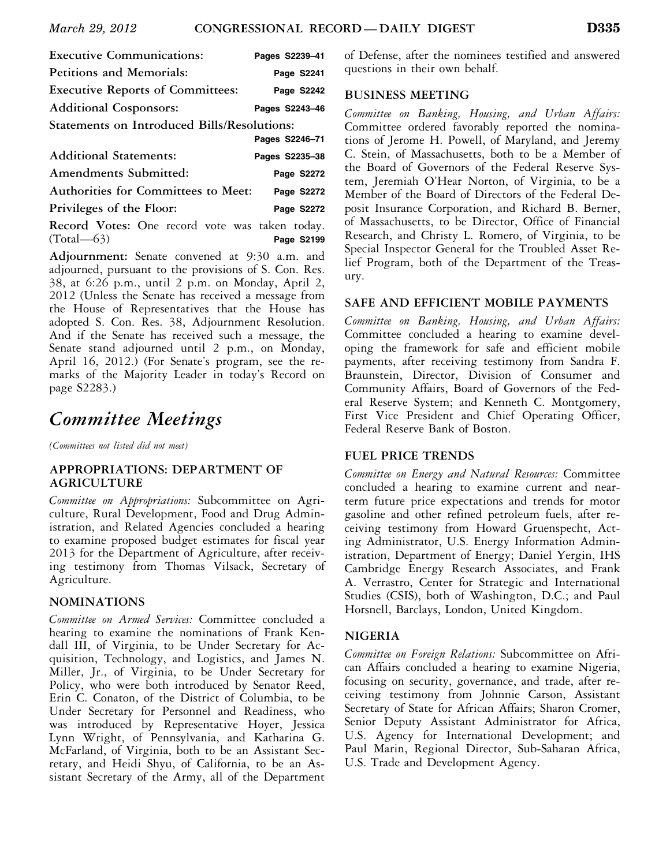| <b>Executive Communications:</b>            | Pages S2239-41 |  |  |  |
|---------------------------------------------|----------------|--|--|--|
| <b>Petitions and Memorials:</b>             | Page S2241     |  |  |  |
| <b>Executive Reports of Committees:</b>     | Page S2242     |  |  |  |
| <b>Additional Cosponsors:</b>               | Pages S2243-46 |  |  |  |
| Statements on Introduced Bills/Resolutions: |                |  |  |  |
|                                             | Pages S2246-71 |  |  |  |
| <b>Additional Statements:</b>               | Pages S2235-38 |  |  |  |
|                                             |                |  |  |  |

**Amendments Submitted: Page S2272 Authorities for Committees to Meet: Page S2272** 

**Privileges of the Floor: Page S2272** 

**Record Votes:** One record vote was taken today. (Total—63) **Page S2199** 

**Adjournment:** Senate convened at 9:30 a.m. and adjourned, pursuant to the provisions of S. Con. Res. 38, at 6:26 p.m., until 2 p.m. on Monday, April 2, 2012 (Unless the Senate has received a message from the House of Representatives that the House has adopted S. Con. Res. 38, Adjournment Resolution. And if the Senate has received such a message, the Senate stand adjourned until 2 p.m., on Monday, April 16, 2012.) (For Senate's program, see the remarks of the Majority Leader in today's Record on page S2283.)

### *Committee Meetings*

*(Committees not listed did not meet)* 

### **APPROPRIATIONS: DEPARTMENT OF AGRICULTURE**

*Committee on Appropriations:* Subcommittee on Agriculture, Rural Development, Food and Drug Administration, and Related Agencies concluded a hearing to examine proposed budget estimates for fiscal year 2013 for the Department of Agriculture, after receiving testimony from Thomas Vilsack, Secretary of Agriculture.

### **NOMINATIONS**

*Committee on Armed Services:* Committee concluded a hearing to examine the nominations of Frank Kendall III, of Virginia, to be Under Secretary for Acquisition, Technology, and Logistics, and James N. Miller, Jr., of Virginia, to be Under Secretary for Policy, who were both introduced by Senator Reed, Erin C. Conaton, of the District of Columbia, to be Under Secretary for Personnel and Readiness, who was introduced by Representative Hoyer, Jessica Lynn Wright, of Pennsylvania, and Katharina G. McFarland, of Virginia, both to be an Assistant Secretary, and Heidi Shyu, of California, to be an Assistant Secretary of the Army, all of the Department

of Defense, after the nominees testified and answered questions in their own behalf.

### **BUSINESS MEETING**

*Committee on Banking, Housing, and Urban Affairs:*  Committee ordered favorably reported the nominations of Jerome H. Powell, of Maryland, and Jeremy C. Stein, of Massachusetts, both to be a Member of the Board of Governors of the Federal Reserve System, Jeremiah O'Hear Norton, of Virginia, to be a Member of the Board of Directors of the Federal Deposit Insurance Corporation, and Richard B. Berner, of Massachusetts, to be Director, Office of Financial Research, and Christy L. Romero, of Virginia, to be Special Inspector General for the Troubled Asset Relief Program, both of the Department of the Treasury.

### **SAFE AND EFFICIENT MOBILE PAYMENTS**

*Committee on Banking, Housing, and Urban Affairs:*  Committee concluded a hearing to examine developing the framework for safe and efficient mobile payments, after receiving testimony from Sandra F. Braunstein, Director, Division of Consumer and Community Affairs, Board of Governors of the Federal Reserve System; and Kenneth C. Montgomery, First Vice President and Chief Operating Officer, Federal Reserve Bank of Boston.

### **FUEL PRICE TRENDS**

*Committee on Energy and Natural Resources:* Committee concluded a hearing to examine current and nearterm future price expectations and trends for motor gasoline and other refined petroleum fuels, after receiving testimony from Howard Gruenspecht, Acting Administrator, U.S. Energy Information Administration, Department of Energy; Daniel Yergin, IHS Cambridge Energy Research Associates, and Frank A. Verrastro, Center for Strategic and International Studies (CSIS), both of Washington, D.C.; and Paul Horsnell, Barclays, London, United Kingdom.

### **NIGERIA**

*Committee on Foreign Relations:* Subcommittee on African Affairs concluded a hearing to examine Nigeria, focusing on security, governance, and trade, after receiving testimony from Johnnie Carson, Assistant Secretary of State for African Affairs; Sharon Cromer, Senior Deputy Assistant Administrator for Africa, U.S. Agency for International Development; and Paul Marin, Regional Director, Sub-Saharan Africa, U.S. Trade and Development Agency.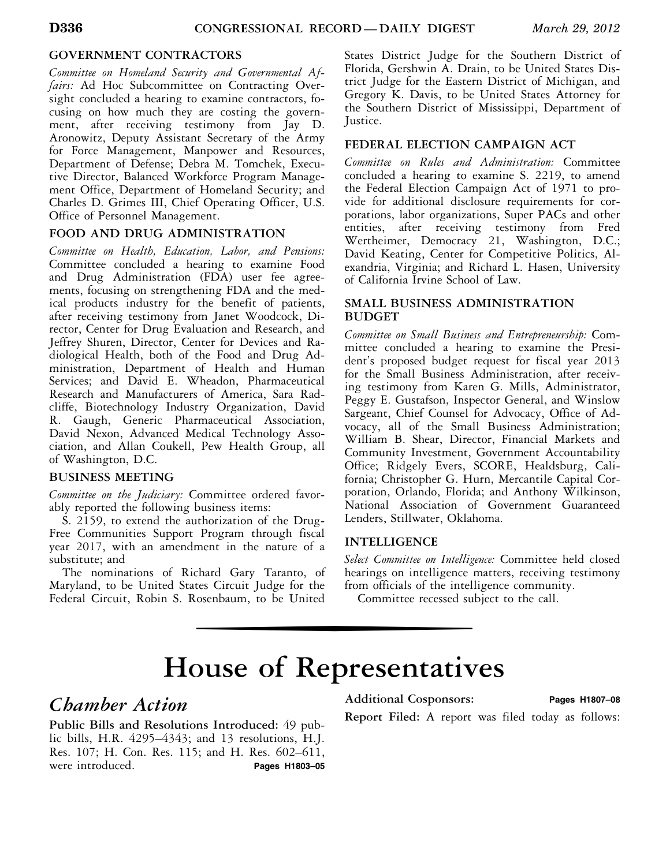### **GOVERNMENT CONTRACTORS**

*Committee on Homeland Security and Governmental Affairs:* Ad Hoc Subcommittee on Contracting Oversight concluded a hearing to examine contractors, focusing on how much they are costing the government, after receiving testimony from Jay D. Aronowitz, Deputy Assistant Secretary of the Army for Force Management, Manpower and Resources, Department of Defense; Debra M. Tomchek, Executive Director, Balanced Workforce Program Management Office, Department of Homeland Security; and Charles D. Grimes III, Chief Operating Officer, U.S. Office of Personnel Management.

### **FOOD AND DRUG ADMINISTRATION**

*Committee on Health, Education, Labor, and Pensions:*  Committee concluded a hearing to examine Food and Drug Administration (FDA) user fee agreements, focusing on strengthening FDA and the medical products industry for the benefit of patients, after receiving testimony from Janet Woodcock, Director, Center for Drug Evaluation and Research, and Jeffrey Shuren, Director, Center for Devices and Radiological Health, both of the Food and Drug Administration, Department of Health and Human Services; and David E. Wheadon, Pharmaceutical Research and Manufacturers of America, Sara Radcliffe, Biotechnology Industry Organization, David R. Gaugh, Generic Pharmaceutical Association, David Nexon, Advanced Medical Technology Association, and Allan Coukell, Pew Health Group, all of Washington, D.C.

### **BUSINESS MEETING**

*Committee on the Judiciary:* Committee ordered favorably reported the following business items:

S. 2159, to extend the authorization of the Drug-Free Communities Support Program through fiscal year 2017, with an amendment in the nature of a substitute; and

The nominations of Richard Gary Taranto, of Maryland, to be United States Circuit Judge for the Federal Circuit, Robin S. Rosenbaum, to be United

States District Judge for the Southern District of Florida, Gershwin A. Drain, to be United States District Judge for the Eastern District of Michigan, and Gregory K. Davis, to be United States Attorney for the Southern District of Mississippi, Department of Justice.

### **FEDERAL ELECTION CAMPAIGN ACT**

*Committee on Rules and Administration:* Committee concluded a hearing to examine S. 2219, to amend the Federal Election Campaign Act of 1971 to provide for additional disclosure requirements for corporations, labor organizations, Super PACs and other entities, after receiving testimony from Fred Wertheimer, Democracy 21, Washington, D.C.; David Keating, Center for Competitive Politics, Alexandria, Virginia; and Richard L. Hasen, University of California Irvine School of Law.

### **SMALL BUSINESS ADMINISTRATION BUDGET**

*Committee on Small Business and Entrepreneurship:* Committee concluded a hearing to examine the President's proposed budget request for fiscal year 2013 for the Small Business Administration, after receiving testimony from Karen G. Mills, Administrator, Peggy E. Gustafson, Inspector General, and Winslow Sargeant, Chief Counsel for Advocacy, Office of Advocacy, all of the Small Business Administration; William B. Shear, Director, Financial Markets and Community Investment, Government Accountability Office; Ridgely Evers, SCORE, Healdsburg, California; Christopher G. Hurn, Mercantile Capital Corporation, Orlando, Florida; and Anthony Wilkinson, National Association of Government Guaranteed Lenders, Stillwater, Oklahoma.

### **INTELLIGENCE**

*Select Committee on Intelligence:* Committee held closed hearings on intelligence matters, receiving testimony from officials of the intelligence community.

Committee recessed subject to the call.

### hise of Representative **House of Representatives**

### *Chamber Action*

**Public Bills and Resolutions Introduced:** 49 public bills, H.R. 4295–4343; and 13 resolutions, H.J. Res. 107; H. Con. Res. 115; and H. Res. 602–611, were introduced. **Pages H1803-05** 

### **Additional Cosponsors: Pages H1807–08**

**Report Filed:** A report was filed today as follows: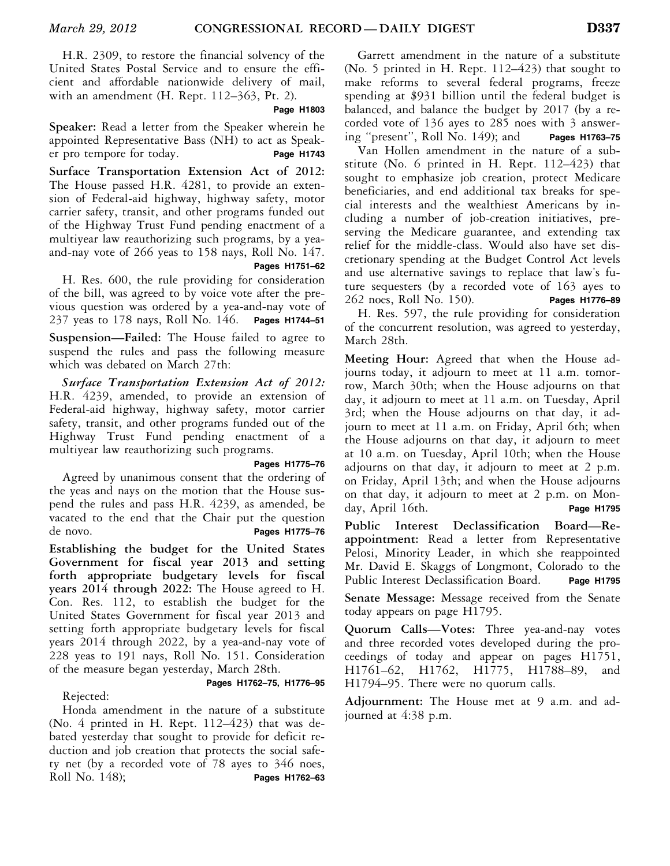H.R. 2309, to restore the financial solvency of the United States Postal Service and to ensure the efficient and affordable nationwide delivery of mail, with an amendment (H. Rept. 112–363, Pt. 2).

### **Page H1803**

**Speaker:** Read a letter from the Speaker wherein he appointed Representative Bass (NH) to act as Speaker pro tempore for today. **Page H1743** 

**Surface Transportation Extension Act of 2012:**  The House passed H.R. 4281, to provide an extension of Federal-aid highway, highway safety, motor carrier safety, transit, and other programs funded out of the Highway Trust Fund pending enactment of a multiyear law reauthorizing such programs, by a yeaand-nay vote of 266 yeas to 158 nays, Roll No. 147.

|  |  | Pages H1751-62 |
|--|--|----------------|

H. Res. 600, the rule providing for consideration of the bill, was agreed to by voice vote after the previous question was ordered by a yea-and-nay vote of 237 yeas to 178 nays, Roll No. 146. **Pages H1744–51** 

**Suspension—Failed:** The House failed to agree to suspend the rules and pass the following measure which was debated on March 27th:

*Surface Transportation Extension Act of 2012:*  H.R. 4239, amended, to provide an extension of Federal-aid highway, highway safety, motor carrier safety, transit, and other programs funded out of the Highway Trust Fund pending enactment of a multiyear law reauthorizing such programs.

### **Pages H1775–76**

Agreed by unanimous consent that the ordering of the yeas and nays on the motion that the House suspend the rules and pass H.R. 4239, as amended, be vacated to the end that the Chair put the question de novo. **Pages H1775–76** 

**Establishing the budget for the United States Government for fiscal year 2013 and setting forth appropriate budgetary levels for fiscal years 2014 through 2022:** The House agreed to H. Con. Res. 112, to establish the budget for the United States Government for fiscal year 2013 and setting forth appropriate budgetary levels for fiscal years 2014 through 2022, by a yea-and-nay vote of 228 yeas to 191 nays, Roll No. 151. Consideration of the measure began yesterday, March 28th.

Rejected:

Honda amendment in the nature of a substitute

 **Pages H1762–75, H1776–95** 

(No. 4 printed in H. Rept.  $112-423$ ) that was debated yesterday that sought to provide for deficit reduction and job creation that protects the social safety net (by a recorded vote of 78 ayes to 346 noes, Roll No. 148); **Pages H1762–63** 

Garrett amendment in the nature of a substitute (No. 5 printed in H. Rept. 112–423) that sought to make reforms to several federal programs, freeze spending at \$931 billion until the federal budget is balanced, and balance the budget by 2017 (by a recorded vote of 136 ayes to 285 noes with 3 answering ''present'', Roll No. 149); and **Pages H1763–75** 

Van Hollen amendment in the nature of a substitute (No. 6 printed in H. Rept. 112–423) that sought to emphasize job creation, protect Medicare beneficiaries, and end additional tax breaks for special interests and the wealthiest Americans by including a number of job-creation initiatives, preserving the Medicare guarantee, and extending tax relief for the middle-class. Would also have set discretionary spending at the Budget Control Act levels and use alternative savings to replace that law's future sequesters (by a recorded vote of 163 ayes to 262 noes, Roll No. 150). **Pages H1776–89** 

H. Res. 597, the rule providing for consideration of the concurrent resolution, was agreed to yesterday, March 28th.

**Meeting Hour:** Agreed that when the House adjourns today, it adjourn to meet at 11 a.m. tomorrow, March 30th; when the House adjourns on that day, it adjourn to meet at 11 a.m. on Tuesday, April 3rd; when the House adjourns on that day, it adjourn to meet at 11 a.m. on Friday, April 6th; when the House adjourns on that day, it adjourn to meet at 10 a.m. on Tuesday, April 10th; when the House adjourns on that day, it adjourn to meet at 2 p.m. on Friday, April 13th; and when the House adjourns on that day, it adjourn to meet at 2 p.m. on Monday, April 16th. **Page H1795** 

**Public Interest Declassification Board—Reappointment:** Read a letter from Representative Pelosi, Minority Leader, in which she reappointed Mr. David E. Skaggs of Longmont, Colorado to the Public Interest Declassification Board. Page H1795

**Senate Message:** Message received from the Senate today appears on page H1795.

**Quorum Calls—Votes:** Three yea-and-nay votes and three recorded votes developed during the proceedings of today and appear on pages H1751, H1761–62, H1762, H1775, H1788–89, and H1794–95. There were no quorum calls.

**Adjournment:** The House met at 9 a.m. and adjourned at 4:38 p.m.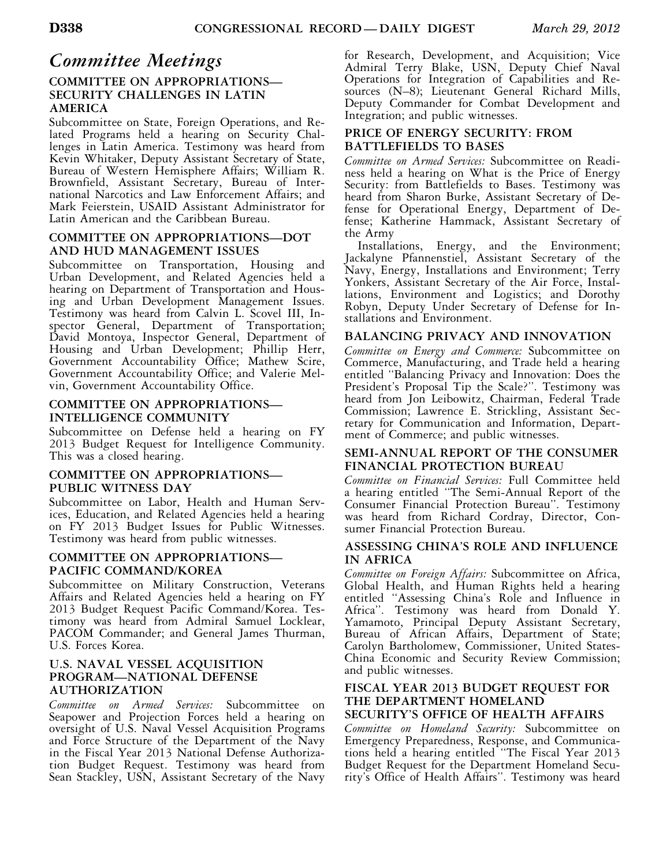### *Committee Meetings*

### **COMMITTEE ON APPROPRIATIONS— SECURITY CHALLENGES IN LATIN AMERICA**

Subcommittee on State, Foreign Operations, and Related Programs held a hearing on Security Challenges in Latin America. Testimony was heard from Kevin Whitaker, Deputy Assistant Secretary of State, Bureau of Western Hemisphere Affairs; William R. Brownfield, Assistant Secretary, Bureau of International Narcotics and Law Enforcement Affairs; and Mark Feierstein, USAID Assistant Administrator for Latin American and the Caribbean Bureau.

### **COMMITTEE ON APPROPRIATIONS—DOT AND HUD MANAGEMENT ISSUES**

Subcommittee on Transportation, Housing and Urban Development, and Related Agencies held a hearing on Department of Transportation and Housing and Urban Development Management Issues. Testimony was heard from Calvin L. Scovel III, Inspector General, Department of Transportation; David Montoya, Inspector General, Department of Housing and Urban Development; Phillip Herr, Government Accountability Office; Mathew Scire, Government Accountability Office; and Valerie Melvin, Government Accountability Office.

### **COMMITTEE ON APPROPRIATIONS— INTELLIGENCE COMMUNITY**

Subcommittee on Defense held a hearing on FY 2013 Budget Request for Intelligence Community. This was a closed hearing.

### **COMMITTEE ON APPROPRIATIONS— PUBLIC WITNESS DAY**

Subcommittee on Labor, Health and Human Services, Education, and Related Agencies held a hearing on FY 2013 Budget Issues for Public Witnesses. Testimony was heard from public witnesses.

### **COMMITTEE ON APPROPRIATIONS— PACIFIC COMMAND/KOREA**

Subcommittee on Military Construction, Veterans Affairs and Related Agencies held a hearing on FY 2013 Budget Request Pacific Command/Korea. Testimony was heard from Admiral Samuel Locklear, PACOM Commander; and General James Thurman, U.S. Forces Korea.

### **U.S. NAVAL VESSEL ACQUISITION PROGRAM—NATIONAL DEFENSE AUTHORIZATION**

*Committee on Armed Services:* Subcommittee on Seapower and Projection Forces held a hearing on oversight of U.S. Naval Vessel Acquisition Programs and Force Structure of the Department of the Navy in the Fiscal Year 2013 National Defense Authorization Budget Request. Testimony was heard from Sean Stackley, USN, Assistant Secretary of the Navy for Research, Development, and Acquisition; Vice Admiral Terry Blake, USN, Deputy Chief Naval Operations for Integration of Capabilities and Resources (N–8); Lieutenant General Richard Mills, Deputy Commander for Combat Development and Integration; and public witnesses.

### **PRICE OF ENERGY SECURITY: FROM BATTLEFIELDS TO BASES**

*Committee on Armed Services:* Subcommittee on Readiness held a hearing on What is the Price of Energy Security: from Battlefields to Bases. Testimony was heard from Sharon Burke, Assistant Secretary of Defense for Operational Energy, Department of Defense; Katherine Hammack, Assistant Secretary of the Army

Installations, Energy, and the Environment; Jackalyne Pfannenstiel, Assistant Secretary of the Navy, Energy, Installations and Environment; Terry Yonkers, Assistant Secretary of the Air Force, Installations, Environment and Logistics; and Dorothy Robyn, Deputy Under Secretary of Defense for Installations and Environment.

### **BALANCING PRIVACY AND INNOVATION**

*Committee on Energy and Commerce:* Subcommittee on Commerce, Manufacturing, and Trade held a hearing entitled ''Balancing Privacy and Innovation: Does the President's Proposal Tip the Scale?''. Testimony was heard from Jon Leibowitz, Chairman, Federal Trade Commission; Lawrence E. Strickling, Assistant Secretary for Communication and Information, Department of Commerce; and public witnesses.

### **SEMI-ANNUAL REPORT OF THE CONSUMER FINANCIAL PROTECTION BUREAU**

*Committee on Financial Services:* Full Committee held a hearing entitled ''The Semi-Annual Report of the Consumer Financial Protection Bureau''. Testimony was heard from Richard Cordray, Director, Consumer Financial Protection Bureau.

### **ASSESSING CHINA'S ROLE AND INFLUENCE IN AFRICA**

*Committee on Foreign Affairs:* Subcommittee on Africa, Global Health, and Human Rights held a hearing entitled ''Assessing China's Role and Influence in Africa''. Testimony was heard from Donald Y. Yamamoto, Principal Deputy Assistant Secretary, Bureau of African Affairs, Department of State; Carolyn Bartholomew, Commissioner, United States-China Economic and Security Review Commission; and public witnesses.

### **FISCAL YEAR 2013 BUDGET REQUEST FOR THE DEPARTMENT HOMELAND**

### **SECURITY'S OFFICE OF HEALTH AFFAIRS**

*Committee on Homeland Security:* Subcommittee on Emergency Preparedness, Response, and Communications held a hearing entitled ''The Fiscal Year 2013 Budget Request for the Department Homeland Security's Office of Health Affairs''. Testimony was heard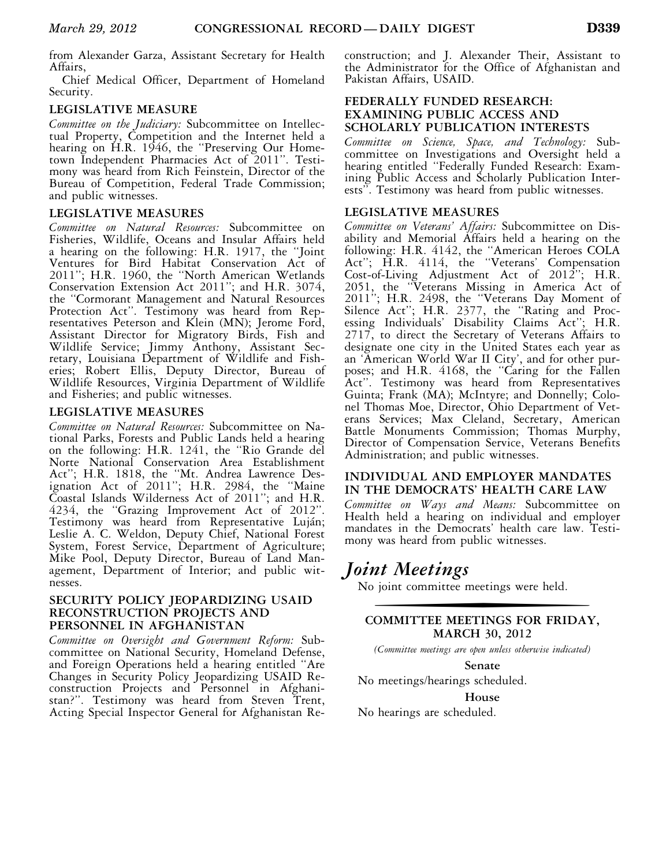from Alexander Garza, Assistant Secretary for Health Affairs,

Chief Medical Officer, Department of Homeland Security.

### **LEGISLATIVE MEASURE**

*Committee on the Judiciary:* Subcommittee on Intellectual Property, Competition and the Internet held a hearing on H.R. 1946, the "Preserving Our Hometown Independent Pharmacies Act of 2011''. Testimony was heard from Rich Feinstein, Director of the Bureau of Competition, Federal Trade Commission; and public witnesses.

### **LEGISLATIVE MEASURES**

*Committee on Natural Resources:* Subcommittee on Fisheries, Wildlife, Oceans and Insular Affairs held a hearing on the following: H.R. 1917, the ''Joint Ventures for Bird Habitat Conservation Act of 2011''; H.R. 1960, the ''North American Wetlands Conservation Extension Act 2011''; and H.R. 3074, the ''Cormorant Management and Natural Resources Protection Act''. Testimony was heard from Representatives Peterson and Klein (MN); Jerome Ford, Assistant Director for Migratory Birds, Fish and Wildlife Service; Jimmy Anthony, Assistant Secretary, Louisiana Department of Wildlife and Fisheries; Robert Ellis, Deputy Director, Bureau of Wildlife Resources, Virginia Department of Wildlife and Fisheries; and public witnesses.

### **LEGISLATIVE MEASURES**

*Committee on Natural Resources:* Subcommittee on National Parks, Forests and Public Lands held a hearing on the following: H.R. 1241, the ''Rio Grande del Norte National Conservation Area Establishment Act''; H.R. 1818, the ''Mt. Andrea Lawrence Designation Act of 2011''; H.R. 2984, the ''Maine Coastal Islands Wilderness Act of 2011''; and H.R. 4234, the ''Grazing Improvement Act of 2012''. Testimony was heard from Representative Luján; Leslie A. C. Weldon, Deputy Chief, National Forest System, Forest Service, Department of Agriculture; Mike Pool, Deputy Director, Bureau of Land Management, Department of Interior; and public witnesses.

### **SECURITY POLICY JEOPARDIZING USAID RECONSTRUCTION PROJECTS AND PERSONNEL IN AFGHANISTAN**

*Committee on Oversight and Government Reform:* Subcommittee on National Security, Homeland Defense, and Foreign Operations held a hearing entitled ''Are Changes in Security Policy Jeopardizing USAID Reconstruction Projects and Personnel in Afghanistan?''. Testimony was heard from Steven Trent, Acting Special Inspector General for Afghanistan Reconstruction; and J. Alexander Their, Assistant to the Administrator for the Office of Afghanistan and Pakistan Affairs, USAID.

### **FEDERALLY FUNDED RESEARCH: EXAMINING PUBLIC ACCESS AND SCHOLARLY PUBLICATION INTERESTS**

*Committee on Science, Space, and Technology:* Subcommittee on Investigations and Oversight held a hearing entitled ''Federally Funded Research: Examining Public Access and Scholarly Publication Interests''. Testimony was heard from public witnesses.

### **LEGISLATIVE MEASURES**

*Committee on Veterans' Affairs:* Subcommittee on Disability and Memorial Affairs held a hearing on the following: H.R. 4142, the ''American Heroes COLA Act''; H.R. 4114, the ''Veterans' Compensation Cost-of-Living Adjustment Act of 2012''; H.R. 2051, the ''Veterans Missing in America Act of 2011''; H.R. 2498, the ''Veterans Day Moment of Silence Act''; H.R. 2377, the ''Rating and Processing Individuals' Disability Claims Act''; H.R. 2717, to direct the Secretary of Veterans Affairs to designate one city in the United States each year as an 'American World War II City', and for other purposes; and H.R. 4168, the "Caring for the Fallen Act''. Testimony was heard from Representatives Guinta; Frank (MA); McIntyre; and Donnelly; Colonel Thomas Moe, Director, Ohio Department of Veterans Services; Max Cleland, Secretary, American Battle Monuments Commission; Thomas Murphy, Director of Compensation Service, Veterans Benefits Administration; and public witnesses.

### **INDIVIDUAL AND EMPLOYER MANDATES IN THE DEMOCRATS' HEALTH CARE LAW**

*Committee on Ways and Means:* Subcommittee on Health held a hearing on individual and employer mandates in the Democrats' health care law. Testimony was heard from public witnesses.

### *Joint Meetings*

No joint committee meetings were held.

### **COMMITTEE MEETINGS FOR FRIDAY, MARCH 30, 2012**

*(Committee meetings are open unless otherwise indicated)* 

**Senate** 

No meetings/hearings scheduled.

### **House**

No hearings are scheduled.